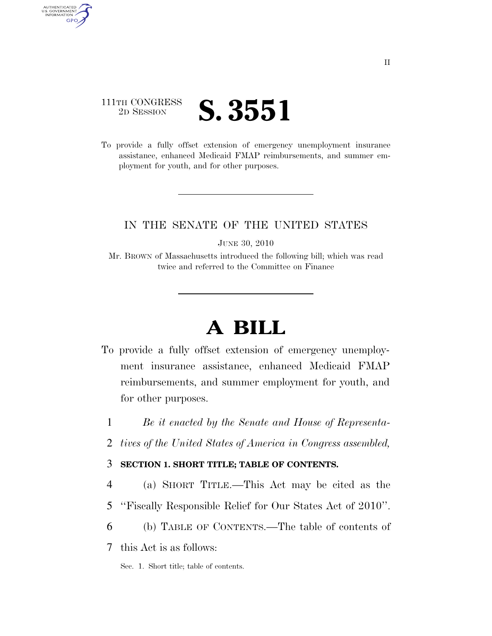## 111TH CONGRESS <sup>2D SESSION</sup> **S. 3551**

AUTHENTICATED<br>U.S. GOVERNMENT<br>INFORMATION GPO

> To provide a fully offset extension of emergency unemployment insurance assistance, enhanced Medicaid FMAP reimbursements, and summer employment for youth, and for other purposes.

### IN THE SENATE OF THE UNITED STATES

JUNE 30, 2010

Mr. BROWN of Massachusetts introduced the following bill; which was read twice and referred to the Committee on Finance

# **A BILL**

- To provide a fully offset extension of emergency unemployment insurance assistance, enhanced Medicaid FMAP reimbursements, and summer employment for youth, and for other purposes.
	- 1 *Be it enacted by the Senate and House of Representa-*
	- 2 *tives of the United States of America in Congress assembled,*

### 3 **SECTION 1. SHORT TITLE; TABLE OF CONTENTS.**

- 4 (a) SHORT TITLE.—This Act may be cited as the
- 5 ''Fiscally Responsible Relief for Our States Act of 2010''.
- 6 (b) TABLE OF CONTENTS.—The table of contents of

7 this Act is as follows:

Sec. 1. Short title; table of contents.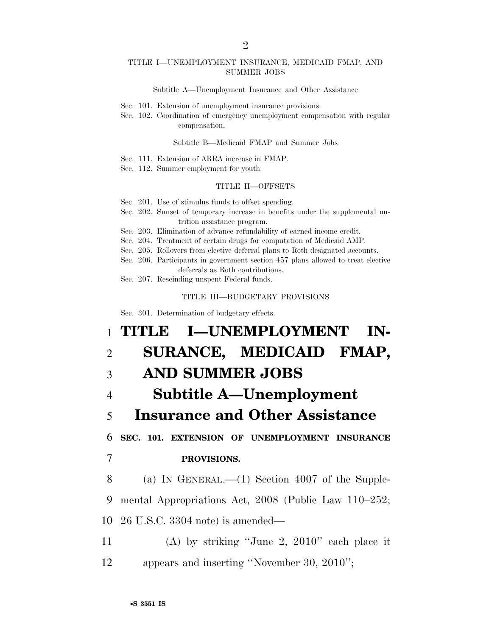#### TITLE I—UNEMPLOYMENT INSURANCE, MEDICAID FMAP, AND SUMMER JOBS

Subtitle A—Unemployment Insurance and Other Assistance

- Sec. 101. Extension of unemployment insurance provisions.
- Sec. 102. Coordination of emergency unemployment compensation with regular compensation.

#### Subtitle B—Medicaid FMAP and Summer Jobs

- Sec. 111. Extension of ARRA increase in FMAP.
- Sec. 112. Summer employment for youth.

#### TITLE II—OFFSETS

- Sec. 201. Use of stimulus funds to offset spending.
- Sec. 202. Sunset of temporary increase in benefits under the supplemental nutrition assistance program.
- Sec. 203. Elimination of advance refundability of earned income credit.
- Sec. 204. Treatment of certain drugs for computation of Medicaid AMP.
- Sec. 205. Rollovers from elective deferral plans to Roth designated accounts.
- Sec. 206. Participants in government section 457 plans allowed to treat elective deferrals as Roth contributions.
- Sec. 207. Rescinding unspent Federal funds.

#### TITLE III—BUDGETARY PROVISIONS

Sec. 301. Determination of budgetary effects.

# 1 **TITLE I—UNEMPLOYMENT IN-**2 **SURANCE, MEDICAID FMAP,**  3 **AND SUMMER JOBS**  4 **Subtitle A—Unemployment**  5 **Insurance and Other Assistance**  6 **SEC. 101. EXTENSION OF UNEMPLOYMENT INSURANCE**  7 **PROVISIONS.**  8 (a) IN GENERAL.—(1) Section 4007 of the Supple-9 mental Appropriations Act, 2008 (Public Law 110–252; 10 26 U.S.C. 3304 note) is amended— 11 (A) by striking ''June 2, 2010'' each place it 12 appears and inserting ''November 30, 2010'';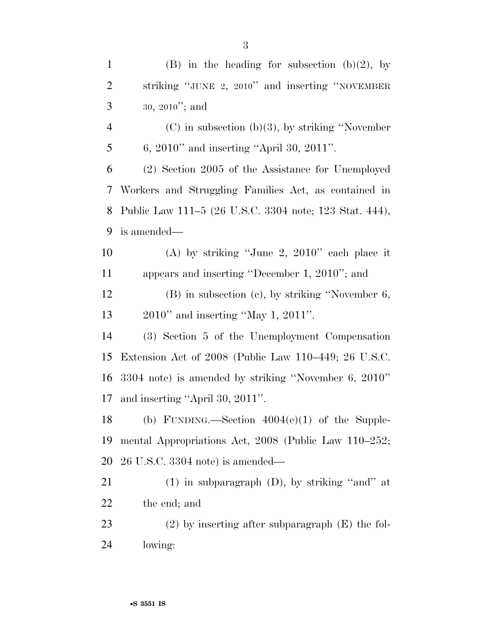| $\mathbf{1}$   | (B) in the heading for subsection (b)(2), by           |
|----------------|--------------------------------------------------------|
| $\overline{2}$ | striking "JUNE 2, 2010" and inserting "NOVEMBER        |
| 3              | $30, 2010$ "; and                                      |
| $\overline{4}$ | $(C)$ in subsection (b)(3), by striking "November"     |
| 5              | 6, $2010"$ and inserting "April 30, $2011"$ .          |
| 6              | (2) Section 2005 of the Assistance for Unemployed      |
| 7              | Workers and Struggling Families Act, as contained in   |
| 8              | Public Law 111–5 (26 U.S.C. 3304 note; 123 Stat. 444), |
| 9              | is amended—                                            |
| 10             | (A) by striking "June 2, $2010$ " each place it        |
| 11             | appears and inserting "December 1, 2010"; and          |
| 12             | $(B)$ in subsection $(c)$ , by striking "November 6,   |
| 13             | $2010$ " and inserting "May 1, $2011$ ".               |
| 14             | (3) Section 5 of the Unemployment Compensation         |
| 15             | Extension Act of 2008 (Public Law 110–449; 26 U.S.C.   |
| 16             | 3304 note) is amended by striking "November 6, 2010"   |
| 17             | and inserting "April 30, 2011".                        |
| 18             | (b) FUNDING.—Section $4004(e)(1)$ of the Supple-       |
| 19             | mental Appropriations Act, 2008 (Public Law 110–252;   |
| 20             | $26$ U.S.C. 3304 note) is amended—                     |
| 21             | $(1)$ in subparagraph $(D)$ , by striking "and" at     |
| 22             | the end; and                                           |
| 23             | $(2)$ by inserting after subparagraph $(E)$ the fol-   |
| 24             | lowing:                                                |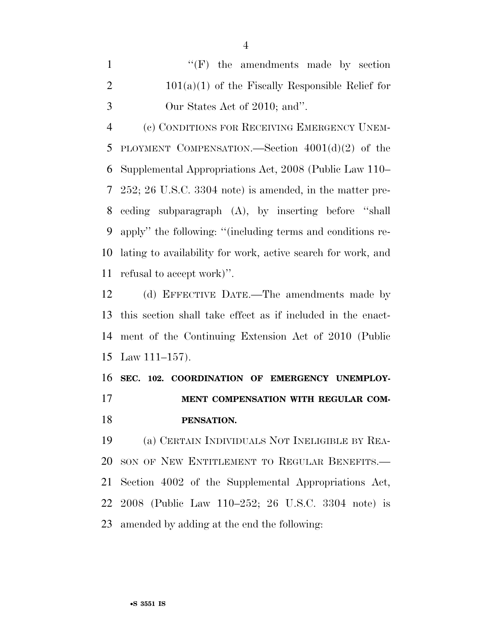|               | $\lq\lq(F)$ the amendments made by section         |
|---------------|----------------------------------------------------|
| - 2           | $101(a)(1)$ of the Fiscally Responsible Relief for |
| $\mathcal{R}$ | Our States Act of 2010; and".                      |

 (c) CONDITIONS FOR RECEIVING EMERGENCY UNEM- PLOYMENT COMPENSATION.—Section 4001(d)(2) of the Supplemental Appropriations Act, 2008 (Public Law 110– 252; 26 U.S.C. 3304 note) is amended, in the matter pre- ceding subparagraph (A), by inserting before ''shall apply'' the following: ''(including terms and conditions re- lating to availability for work, active search for work, and refusal to accept work)''.

 (d) EFFECTIVE DATE.—The amendments made by this section shall take effect as if included in the enact- ment of the Continuing Extension Act of 2010 (Public Law 111–157).

 **SEC. 102. COORDINATION OF EMERGENCY UNEMPLOY- MENT COMPENSATION WITH REGULAR COM-PENSATION.** 

 (a) CERTAIN INDIVIDUALS NOT INELIGIBLE BY REA- SON OF NEW ENTITLEMENT TO REGULAR BENEFITS.— Section 4002 of the Supplemental Appropriations Act, 2008 (Public Law 110–252; 26 U.S.C. 3304 note) is amended by adding at the end the following: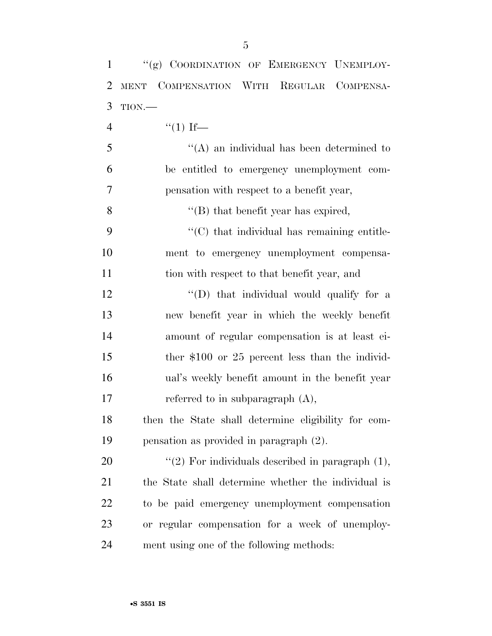| $\mathbf{1}$   | "(g) COORDINATION OF EMERGENCY UNEMPLOY-            |
|----------------|-----------------------------------------------------|
| $\overline{2}$ | COMPENSATION WITH REGULAR COMPENSA-<br><b>MENT</b>  |
| 3              | TION.                                               |
| $\overline{4}$ | $``(1)$ If—                                         |
| 5              | $\lq\lq$ an individual has been determined to       |
| 6              | be entitled to emergency unemployment com-          |
| 7              | pensation with respect to a benefit year,           |
| 8              | $\lq$ (B) that benefit year has expired,            |
| 9              | $\cdot$ (C) that individual has remaining entitle-  |
| 10             | ment to emergency unemployment compensa-            |
| 11             | tion with respect to that benefit year, and         |
| 12             | $\lq\lq$ that individual would qualify for a        |
| 13             | new benefit year in which the weekly benefit        |
| 14             | amount of regular compensation is at least ei-      |
| 15             | ther $$100$ or 25 percent less than the individ-    |
| 16             | ual's weekly benefit amount in the benefit year     |
| 17             | referred to in subparagraph (A),                    |
| 18             | then the State shall determine eligibility for com- |
| 19             | pensation as provided in paragraph $(2)$ .          |
| 20             | "(2) For individuals described in paragraph $(1)$ , |
| 21             | the State shall determine whether the individual is |
| 22             | to be paid emergency unemployment compensation      |
| 23             | or regular compensation for a week of unemploy-     |
| 24             | ment using one of the following methods:            |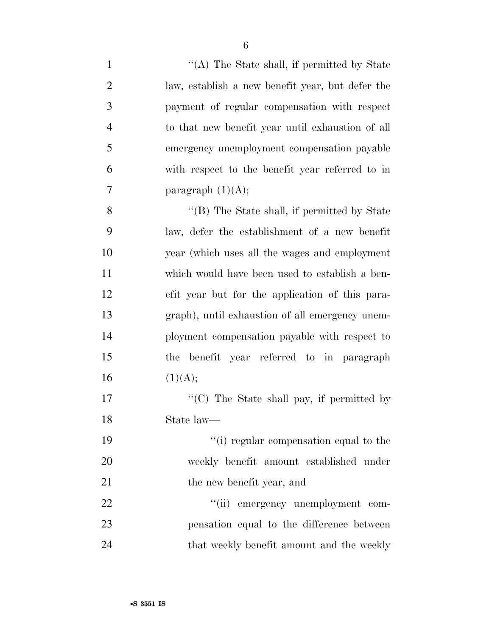| $\mathbf{1}$   | "(A) The State shall, if permitted by State      |
|----------------|--------------------------------------------------|
| $\overline{c}$ | law, establish a new benefit year, but defer the |
| 3              | payment of regular compensation with respect     |
| $\overline{4}$ | to that new benefit year until exhaustion of all |
| 5              | emergency unemployment compensation payable      |
| 6              | with respect to the benefit year referred to in  |
| 7              | paragraph $(1)(A);$                              |
| 8              | "(B) The State shall, if permitted by State      |
| 9              | law, defer the establishment of a new benefit    |
| 10             | year (which uses all the wages and employment    |
| 11             | which would have been used to establish a ben-   |
| 12             | efit year but for the application of this para-  |
| 13             | graph), until exhaustion of all emergency unem-  |
| 14             | ployment compensation payable with respect to    |
| 15             | the benefit year referred to in paragraph        |
| 16             | (1)(A);                                          |
| 17             | "(C) The State shall pay, if permitted by        |
| 18             | State law—                                       |
| 19             | "(i) regular compensation equal to the           |
| 20             | weekly benefit amount established under          |
| 21             | the new benefit year, and                        |
| 22             | "(ii) emergency unemployment com-                |
| 23             | pensation equal to the difference between        |
| 24             | that weekly benefit amount and the weekly        |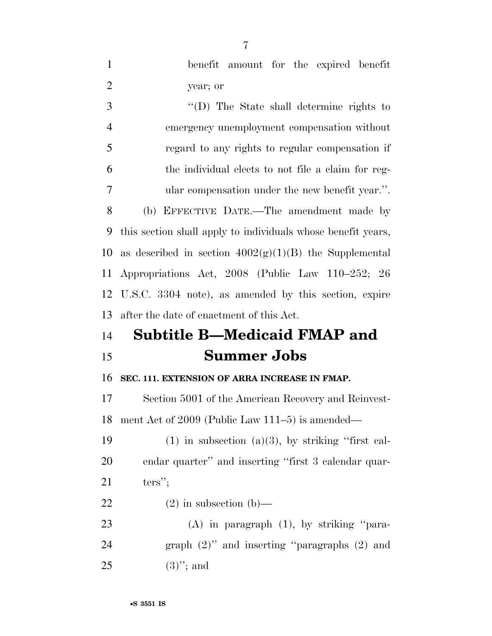| $\mathbf{1}$   | benefit amount for the expired benefit                       |
|----------------|--------------------------------------------------------------|
| $\overline{2}$ | year; or                                                     |
| 3              | $\lq\lq$ (D) The State shall determine rights to             |
| $\overline{4}$ | emergency unemployment compensation without                  |
| 5              | regard to any rights to regular compensation if              |
| 6              | the individual elects to not file a claim for reg-           |
| 7              | ular compensation under the new benefit year.".              |
| 8              | (b) EFFECTIVE DATE.—The amendment made by                    |
| 9              | this section shall apply to individuals whose benefit years, |
| 10             | as described in section $4002(g)(1)(B)$ the Supplemental     |
| 11             | Appropriations Act, 2008 (Public Law 110–252; 26             |
| 12             | U.S.C. 3304 note), as amended by this section, expire        |
| 13             | after the date of enactment of this Act.                     |
| 14             | <b>Subtitle B-Medicaid FMAP and</b>                          |
| 15             |                                                              |
|                | <b>Summer Jobs</b>                                           |
| 16             | SEC. 111. EXTENSION OF ARRA INCREASE IN FMAP.                |
| 17             | Section 5001 of the American Recovery and Reinvest-          |
| 18             | ment Act of $2009$ (Public Law 111–5) is amended—            |
| 19             | $(1)$ in subsection $(a)(3)$ , by striking "first cal-       |
| 20             | endar quarter" and inserting "first 3 calendar quar-         |
| 21             | $ters''$ ;                                                   |
| 22             | $(2)$ in subsection $(b)$ —                                  |
| 23             | $(A)$ in paragraph $(1)$ , by striking "para-                |
| 24             | graph $(2)$ " and inserting "paragraphs $(2)$ and            |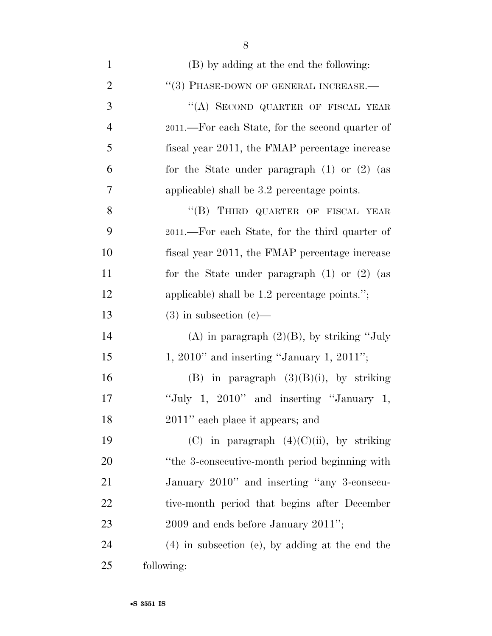| $\mathbf{1}$   | (B) by adding at the end the following:           |
|----------------|---------------------------------------------------|
| $\overline{2}$ | "(3) PHASE-DOWN OF GENERAL INCREASE.-             |
| 3              | "(A) SECOND QUARTER OF FISCAL YEAR                |
| $\overline{4}$ | 2011.—For each State, for the second quarter of   |
| 5              | fiscal year 2011, the FMAP percentage increase    |
| 6              | for the State under paragraph $(1)$ or $(2)$ (as  |
| 7              | applicable) shall be 3.2 percentage points.       |
| 8              | "(B) THIRD QUARTER OF FISCAL YEAR                 |
| 9              | 2011.—For each State, for the third quarter of    |
| 10             | fiscal year 2011, the FMAP percentage increase    |
| 11             | for the State under paragraph $(1)$ or $(2)$ (as  |
| 12             | applicable) shall be $1.2$ percentage points.";   |
| 13             | $(3)$ in subsection $(e)$ —                       |
| 14             | (A) in paragraph $(2)(B)$ , by striking "July     |
| 15             | $1, 2010"$ and inserting "January 1, 2011";       |
| 16             | (B) in paragraph $(3)(B)(i)$ , by striking        |
| 17             | "July 1, $2010$ " and inserting "January 1,       |
| 18             | 2011" each place it appears; and                  |
| 19             | (C) in paragraph $(4)(C)(ii)$ , by striking       |
| 20             | "the 3-consecutive-month period beginning with    |
| 21             | January 2010" and inserting "any 3-consecu-       |
| 22             | tive-month period that begins after December      |
| 23             | $2009$ and ends before January $2011$ ";          |
| 24             | $(4)$ in subsection (e), by adding at the end the |
| 25             | following:                                        |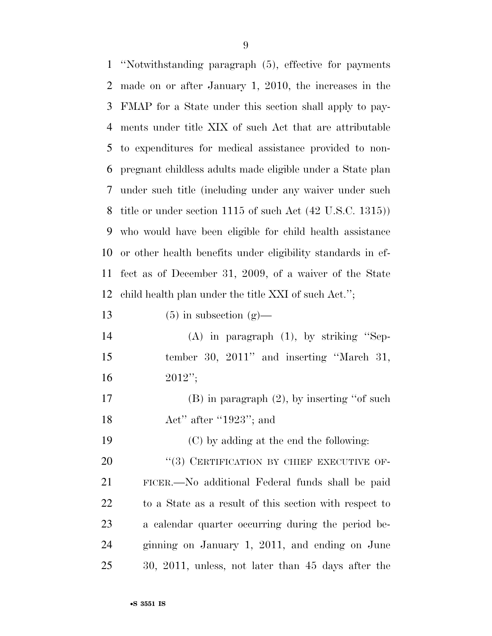| $\mathbf{1}$ | "Notwithstanding paragraph (5), effective for payments                 |
|--------------|------------------------------------------------------------------------|
| 2            | made on or after January 1, 2010, the increases in the                 |
| 3            | FMAP for a State under this section shall apply to pay-                |
| 4            | ments under title XIX of such Act that are attributable                |
| 5            | to expenditures for medical assistance provided to non-                |
| 6            | pregnant childless adults made eligible under a State plan             |
| 7            | under such title (including under any waiver under such                |
| 8            | title or under section $1115$ of such Act $(42 \text{ U.S.C. } 1315))$ |
| 9            | who would have been eligible for child health assistance               |
| 10           | or other health benefits under eligibility standards in ef-            |
| 11           | fect as of December 31, 2009, of a waiver of the State                 |
| 12           | child health plan under the title XXI of such Act.";                   |
| 13           | $(5)$ in subsection $(g)$ —                                            |
| 14           | $(A)$ in paragraph $(1)$ , by striking "Sep-                           |
| 15           | tember 30, 2011" and inserting "March 31,                              |
| 16           | $2012$ ";                                                              |
| 17           | $(B)$ in paragraph $(2)$ , by inserting "of such                       |
| 18           | Act" after "1923"; and                                                 |
| 19           | (C) by adding at the end the following:                                |
| 20           | "(3) CERTIFICATION BY CHIEF EXECUTIVE OF-                              |
| 21           | FICER.—No additional Federal funds shall be paid                       |
| 22           | to a State as a result of this section with respect to                 |
| 23           | a calendar quarter occurring during the period be-                     |
| 24           | ginning on January 1, 2011, and ending on June                         |
| 25           | 30, 2011, unless, not later than 45 days after the                     |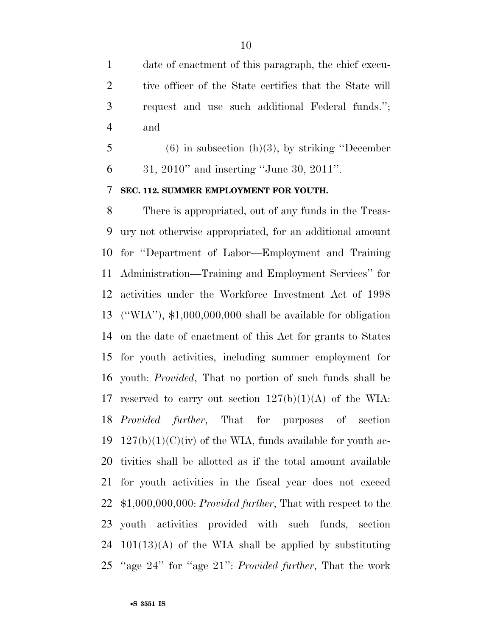date of enactment of this paragraph, the chief execu-2 tive officer of the State certifies that the State will request and use such additional Federal funds.''; and

 (6) in subsection (h)(3), by striking ''December 31, 2010'' and inserting ''June 30, 2011''.

### **SEC. 112. SUMMER EMPLOYMENT FOR YOUTH.**

 There is appropriated, out of any funds in the Treas- ury not otherwise appropriated, for an additional amount for ''Department of Labor—Employment and Training Administration—Training and Employment Services'' for activities under the Workforce Investment Act of 1998 (''WIA''), \$1,000,000,000 shall be available for obligation on the date of enactment of this Act for grants to States for youth activities, including summer employment for youth: *Provided*, That no portion of such funds shall be 17 reserved to carry out section  $127(b)(1)(A)$  of the WIA: *Provided further*, That for purposes of section 19 127(b)(1)(C)(iv) of the WIA, funds available for youth ac- tivities shall be allotted as if the total amount available for youth activities in the fiscal year does not exceed \$1,000,000,000: *Provided further*, That with respect to the youth activities provided with such funds, section  $101(13)(A)$  of the WIA shall be applied by substituting ''age 24'' for ''age 21'': *Provided further*, That the work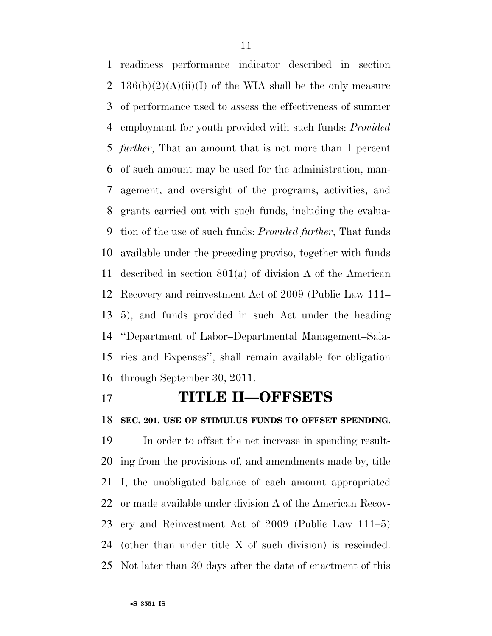readiness performance indicator described in section 2 136(b)(2)(A)(ii)(I) of the WIA shall be the only measure of performance used to assess the effectiveness of summer employment for youth provided with such funds: *Provided further*, That an amount that is not more than 1 percent of such amount may be used for the administration, man- agement, and oversight of the programs, activities, and grants carried out with such funds, including the evalua- tion of the use of such funds: *Provided further*, That funds available under the preceding proviso, together with funds described in section 801(a) of division A of the American Recovery and reinvestment Act of 2009 (Public Law 111– 5), and funds provided in such Act under the heading ''Department of Labor–Departmental Management–Sala- ries and Expenses'', shall remain available for obligation through September 30, 2011.

## **TITLE II—OFFSETS**

**SEC. 201. USE OF STIMULUS FUNDS TO OFFSET SPENDING.** 

 In order to offset the net increase in spending result- ing from the provisions of, and amendments made by, title I, the unobligated balance of each amount appropriated or made available under division A of the American Recov- ery and Reinvestment Act of 2009 (Public Law 111–5) (other than under title X of such division) is rescinded. Not later than 30 days after the date of enactment of this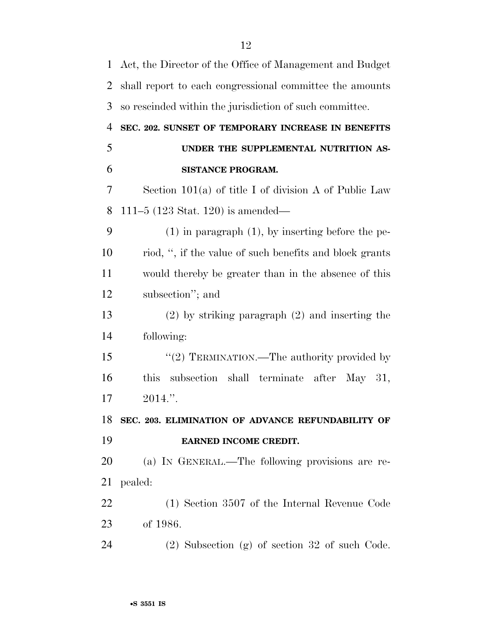| $\mathbf{1}$   | Act, the Director of the Office of Management and Budget |
|----------------|----------------------------------------------------------|
| $\overline{2}$ | shall report to each congressional committee the amounts |
| 3              | so rescinded within the jurisdiction of such committee.  |
| $\overline{4}$ | SEC. 202. SUNSET OF TEMPORARY INCREASE IN BENEFITS       |
| 5              | UNDER THE SUPPLEMENTAL NUTRITION AS-                     |
| 6              | SISTANCE PROGRAM.                                        |
| 7              | Section $101(a)$ of title I of division A of Public Law  |
| 8              | 111–5 $(123 \text{ Stat. } 120)$ is amended—             |
| 9              | $(1)$ in paragraph $(1)$ , by inserting before the pe-   |
| 10             | riod, ", if the value of such benefits and block grants  |
| 11             | would thereby be greater than in the absence of this     |
| 12             | subsection"; and                                         |
| 13             | $(2)$ by striking paragraph $(2)$ and inserting the      |
| 14             | following:                                               |
| 15             | "(2) TERMINATION.—The authority provided by              |
| 16             | subsection shall terminate after May 31,<br>this         |
| 17             | 2014."                                                   |
| 18             | SEC. 203. ELIMINATION OF ADVANCE REFUNDABILITY OF        |
| 19             | EARNED INCOME CREDIT.                                    |
| 20             | (a) IN GENERAL.—The following provisions are re-         |
| 21             | pealed:                                                  |
| 22             | (1) Section 3507 of the Internal Revenue Code            |
| 23             | of 1986.                                                 |
| 24             | $(2)$ Subsection $(g)$ of section 32 of such Code.       |
|                |                                                          |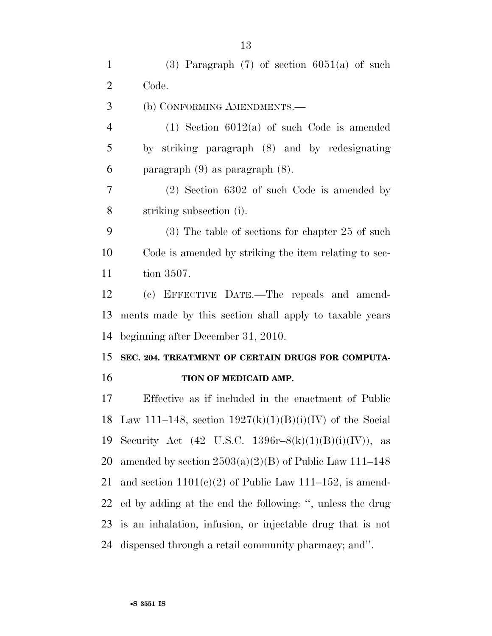1 (3) Paragraph  $(7)$  of section 6051(a) of such Code. (b) CONFORMING AMENDMENTS.— (1) Section 6012(a) of such Code is amended by striking paragraph (8) and by redesignating paragraph (9) as paragraph (8). (2) Section 6302 of such Code is amended by striking subsection (i). (3) The table of sections for chapter 25 of such Code is amended by striking the item relating to sec-tion 3507.

 (c) EFFECTIVE DATE.—The repeals and amend- ments made by this section shall apply to taxable years beginning after December 31, 2010.

## **SEC. 204. TREATMENT OF CERTAIN DRUGS FOR COMPUTA-TION OF MEDICAID AMP.**

 Effective as if included in the enactment of Public 18 Law 111–148, section  $1927(k)(1)(B)(i)(IV)$  of the Social 19 Security Act (42 U.S.C. 1396r-8(k)(1)(B)(i)(IV)), as 20 amended by section  $2503(a)(2)(B)$  of Public Law 111–148 21 and section  $1101(e)(2)$  of Public Law 111–152, is amend- ed by adding at the end the following: '', unless the drug is an inhalation, infusion, or injectable drug that is not dispensed through a retail community pharmacy; and''.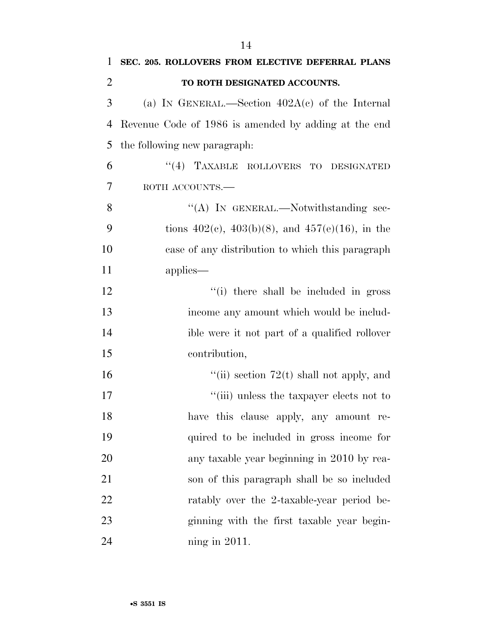| $\mathbf{1}$   | SEC. 205. ROLLOVERS FROM ELECTIVE DEFERRAL PLANS         |
|----------------|----------------------------------------------------------|
| $\overline{2}$ | TO ROTH DESIGNATED ACCOUNTS.                             |
| 3              | (a) IN GENERAL.—Section $402A(c)$ of the Internal        |
| 4              | Revenue Code of 1986 is amended by adding at the end     |
| 5              | the following new paragraph:                             |
| 6              | "(4) TAXABLE ROLLOVERS TO DESIGNATED                     |
| 7              | ROTH ACCOUNTS.                                           |
| 8              | "(A) IN GENERAL.—Notwithstanding sec-                    |
| 9              | tions $402(c)$ , $403(b)(8)$ , and $457(e)(16)$ , in the |
| 10             | case of any distribution to which this paragraph         |
| 11             | applies—                                                 |
| 12             | "(i) there shall be included in gross                    |
| 13             | income any amount which would be includ-                 |
| 14             | ible were it not part of a qualified rollover            |
| 15             | contribution,                                            |
| 16             | "(ii) section $72(t)$ shall not apply, and               |
| 17             | "(iii) unless the taxpayer elects not to                 |
| 18             | have this clause apply, any amount re-                   |
| 19             | quired to be included in gross income for                |
| 20             | any taxable year beginning in 2010 by rea-               |
| 21             | son of this paragraph shall be so included               |
| 22             | ratably over the 2-taxable-year period be-               |
| 23             | ginning with the first taxable year begin-               |
| 24             | ning in $2011$ .                                         |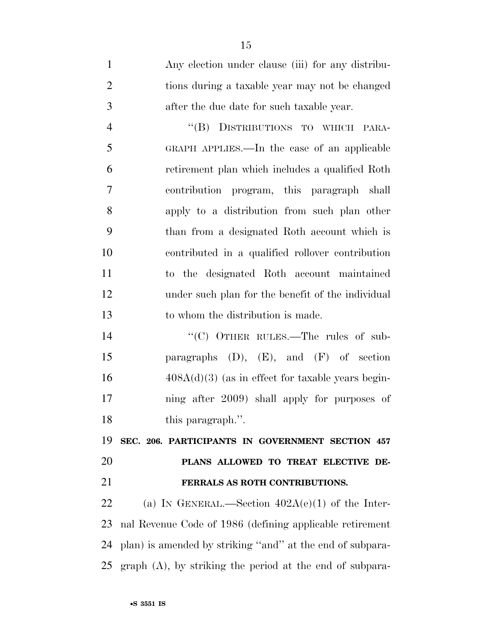Any election under clause (iii) for any distribu- tions during a taxable year may not be changed after the due date for such taxable year. ''(B) DISTRIBUTIONS TO WHICH PARA- GRAPH APPLIES.—In the case of an applicable retirement plan which includes a qualified Roth contribution program, this paragraph shall apply to a distribution from such plan other than from a designated Roth account which is contributed in a qualified rollover contribution to the designated Roth account maintained under such plan for the benefit of the individual to whom the distribution is made.

14 "<sup>"</sup>(C) OTHER RULES.—The rules of sub- paragraphs (D), (E), and (F) of section  $16 \qquad \qquad 408A(d)(3)$  (as in effect for taxable years begin- ning after 2009) shall apply for purposes of 18 this paragraph.".

 **SEC. 206. PARTICIPANTS IN GOVERNMENT SECTION 457 PLANS ALLOWED TO TREAT ELECTIVE DE-FERRALS AS ROTH CONTRIBUTIONS.** 

22 (a) IN GENERAL.—Section  $402A(e)(1)$  of the Inter- nal Revenue Code of 1986 (defining applicable retirement plan) is amended by striking ''and'' at the end of subpara-graph (A), by striking the period at the end of subpara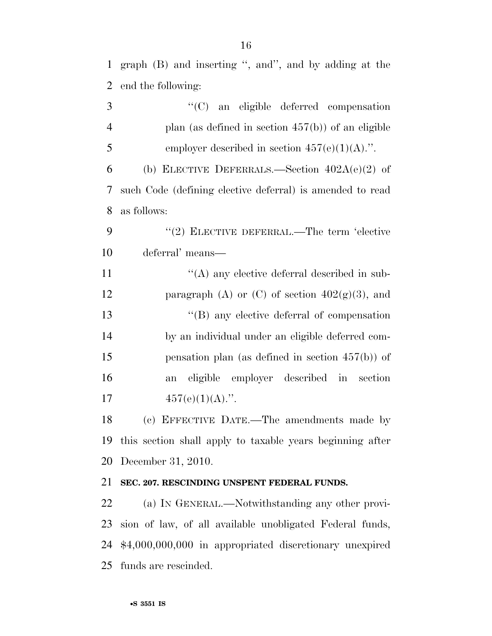graph (B) and inserting '', and'', and by adding at the end the following:

| 3              | "(C) an eligible deferred compensation                    |
|----------------|-----------------------------------------------------------|
| $\overline{4}$ | plan (as defined in section $457(b)$ ) of an eligible     |
| 5              | employer described in section $457(e)(1)(A)$ .".          |
| 6              | (b) ELECTIVE DEFERRALS.—Section $402A(e)(2)$ of           |
| 7              | such Code (defining elective deferral) is amended to read |
| 8              | as follows:                                               |
| 9              | "(2) ELECTIVE DEFERRAL.—The term 'elective                |
| 10             | deferral' means—                                          |
| 11             | $\lq\lq$ any elective deferral described in sub-          |
| 12             | paragraph (A) or (C) of section $402(g)(3)$ , and         |
| 13             | $\lq\lq$ (B) any elective deferral of compensation        |
| 14             | by an individual under an eligible deferred com-          |
| 15             | pensation plan (as defined in section $457(b)$ ) of       |
| 16             | eligible<br>employer described in section<br>an           |
| 17             | $457(e)(1)(A)$ .".                                        |
| 18             | (c) EFFECTIVE DATE.—The amendments made by                |
| 19             | this section shall apply to taxable years beginning after |
|                | 20 December 31, 2010.                                     |
| 21             | SEC. 207. RESCINDING UNSPENT FEDERAL FUNDS.               |
| 22             | (a) IN GENERAL.—Notwithstanding any other provi-          |
| 23             | sion of law, of all available unobligated Federal funds,  |
| 24             | \$4,000,000,000 in appropriated discretionary unexpired   |

funds are rescinded.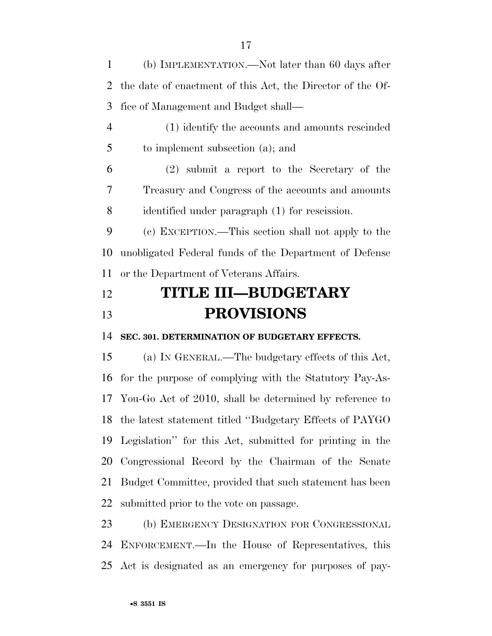(b) IMPLEMENTATION.—Not later than 60 days after the date of enactment of this Act, the Director of the Of-fice of Management and Budget shall—

 (1) identify the accounts and amounts rescinded to implement subsection (a); and

 (2) submit a report to the Secretary of the Treasury and Congress of the accounts and amounts identified under paragraph (1) for rescission.

 (c) EXCEPTION.—This section shall not apply to the unobligated Federal funds of the Department of Defense or the Department of Veterans Affairs.

# **TITLE III—BUDGETARY PROVISIONS**

**SEC. 301. DETERMINATION OF BUDGETARY EFFECTS.** 

 (a) IN GENERAL.—The budgetary effects of this Act, for the purpose of complying with the Statutory Pay-As- You-Go Act of 2010, shall be determined by reference to the latest statement titled ''Budgetary Effects of PAYGO Legislation'' for this Act, submitted for printing in the Congressional Record by the Chairman of the Senate Budget Committee, provided that such statement has been submitted prior to the vote on passage.

 (b) EMERGENCY DESIGNATION FOR CONGRESSIONAL ENFORCEMENT.—In the House of Representatives, this Act is designated as an emergency for purposes of pay